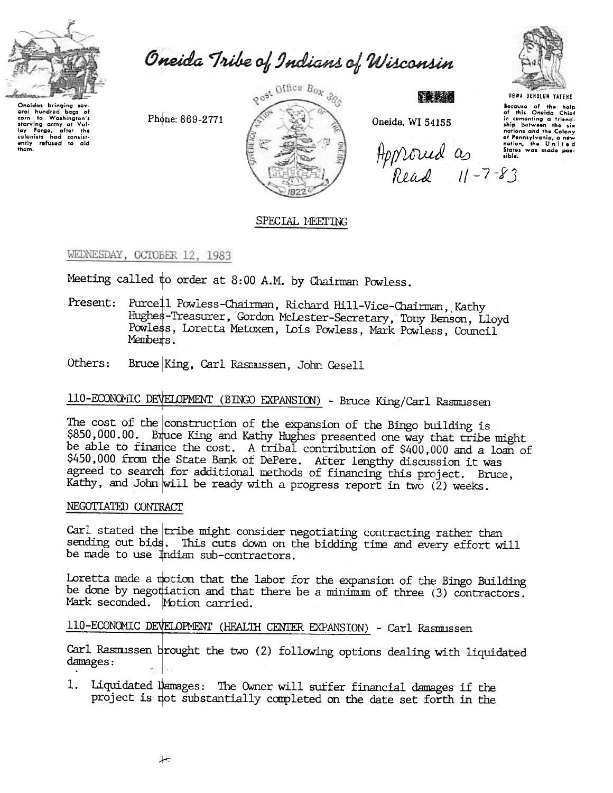

eral numero large or<br>com to Washington's<br>starving army at Velliey Forge, after the<br>colonists had consist-<br>ently refused to aid<br>them.

bags of

eral hundred

Oneida Tribe of Indians of Wisconsin

Phone: 869-2771



Oneida, WI 54155

Approved as side.



Bocause of the holp<br>of this Oneida Chief<br>in comenting a friend-<br>ship botween the six nations and the Colony nations and the wording<br>of Pennsylvania, a new<br>nation, the United<br>States was made pos-

## SPECIAL MEETING

### WEDNESDAY, OCTOBER 12, 1983

Meeting called to order at 8:00 A.M. by Chairman Powless.

- Present: Purcell Powless-Chairman, Richard Hill-Vice-Chairman, Kathy Hughes-Treasurer, Gordon McLester-Secretary, Tony Benson, Lloyd Powless, Loretta Metoxen, Lois Powless, Mark Powless, Council Members.
- Others: Bruce King, Carl Rasmussen, John Gesell

# 110-ECONOMIC DEVELOPMENT (BINGO EXPANSION) - Bruce King/Carl Rasmussen

The cost of the construction of the expansion of the Bingo building is \$850,000.00. Bruce King and Kathy Hughes presented one way that tribe might be able to finance the cost. A tribal contribution of \$400,000 and a loan of \$450,000 from the State Bank of DePere. After lengthy discussion it was agreed to search for additional methods of financing this project. Bruce, Kathy, and John will be ready with a progress report in two (2) weeks.

#### NEGOTIATED CONTRACT

Carl stated the tribe might consider negotiating contracting rather than sending out bids. This cuts down on the bidding time and every effort will be made to use Indian sub-contractors.

Loretta made a motion that the labor for the expansion of the Bingo Building be done by negotiation and that there be a minimum of three (3) contractors. Mark seconded. Motion carried.

## 110-ECONOMIC DEVELOPMENT (HEALTH CENTER EXPANSION) - Carl Rasmussen

Carl Rasmussen brought the two (2) following options dealing with liquidated damages:

1. Liquidated Damages: The Owner will suffer financial damages if the project is not substantially completed on the date set forth in the